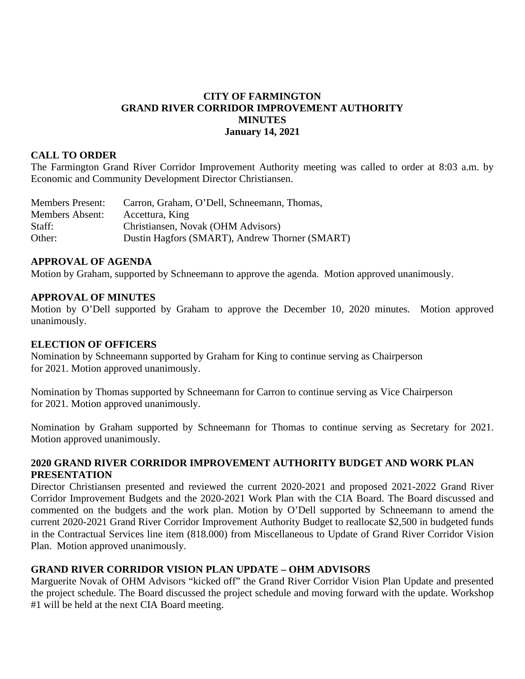### **CITY OF FARMINGTON GRAND RIVER CORRIDOR IMPROVEMENT AUTHORITY MINUTES January 14, 2021**

#### **CALL TO ORDER**

The Farmington Grand River Corridor Improvement Authority meeting was called to order at 8:03 a.m. by Economic and Community Development Director Christiansen.

| <b>Members Present:</b> | Carron, Graham, O'Dell, Schneemann, Thomas,    |
|-------------------------|------------------------------------------------|
| <b>Members Absent:</b>  | Accettura, King                                |
| Staff:                  | Christiansen, Novak (OHM Advisors)             |
| Other:                  | Dustin Hagfors (SMART), Andrew Thorner (SMART) |

#### **APPROVAL OF AGENDA**

Motion by Graham, supported by Schneemann to approve the agenda. Motion approved unanimously.

#### **APPROVAL OF MINUTES**

Motion by O'Dell supported by Graham to approve the December 10, 2020 minutes. Motion approved unanimously.

#### **ELECTION OF OFFICERS**

Nomination by Schneemann supported by Graham for King to continue serving as Chairperson for 2021. Motion approved unanimously.

Nomination by Thomas supported by Schneemann for Carron to continue serving as Vice Chairperson for 2021. Motion approved unanimously.

Nomination by Graham supported by Schneemann for Thomas to continue serving as Secretary for 2021. Motion approved unanimously.

#### **2020 GRAND RIVER CORRIDOR IMPROVEMENT AUTHORITY BUDGET AND WORK PLAN PRESENTATION**

Director Christiansen presented and reviewed the current 2020-2021 and proposed 2021-2022 Grand River Corridor Improvement Budgets and the 2020-2021 Work Plan with the CIA Board. The Board discussed and commented on the budgets and the work plan. Motion by O'Dell supported by Schneemann to amend the current 2020-2021 Grand River Corridor Improvement Authority Budget to reallocate \$2,500 in budgeted funds in the Contractual Services line item (818.000) from Miscellaneous to Update of Grand River Corridor Vision Plan. Motion approved unanimously.

## **GRAND RIVER CORRIDOR VISION PLAN UPDATE – OHM ADVISORS**

Marguerite Novak of OHM Advisors "kicked off" the Grand River Corridor Vision Plan Update and presented the project schedule. The Board discussed the project schedule and moving forward with the update. Workshop #1 will be held at the next CIA Board meeting.